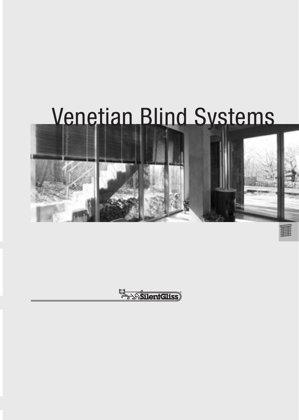# Venetian Blind Systems



El SilentGliss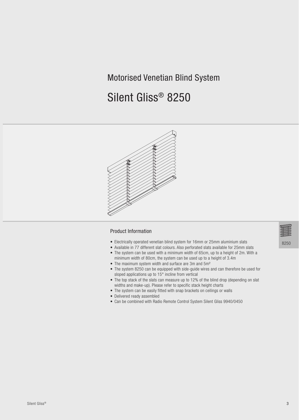# Motorised Venetian Blind System

# Silent Gliss® 8250



#### **Product Information**

- Electrically operated venetian blind system for 16mm or 25mm aluminium slats
- Available in 77 different slat colours. Also perforated slats available for 25mm slats • The system can be used with a minimum width of 65cm, up to a height of 2m. With a minimum width of 80cm, the system can be used up to a height of 3.4m
- The maximum system width and surface are 3m and 5m<sup>2</sup>
- The system 8250 can be equipped with side-guide wires and can therefore be used for sloped applications up to 15° incline from vertical
- The top stack of the slats can measure up to 12% of the blind drop (depending on slat widths and make-up). Please refer to specific stack height charts
- The system can be easily fitted with snap brackets on ceilings or walls
- Delivered ready assembled
- Can be combined with Radio Remote Control System Silent Gliss 9940/0450

8250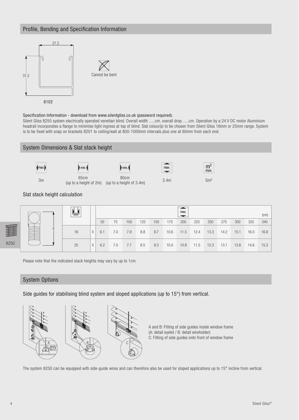# Profile, Bending and Specification Information



#### Specification Information - download from www.silentgliss.co.uk (password required).

Silent Gliss 8250 system electrically operated venetian blind. Overall width .....cm, overall drop .....cm. Operation by a 24 V DC motor Aluminium headrail incorporates a flange to minimise light ingress at top of blind. Slat colour(s) to be chosen from Silent Gliss 16mm or 25mm range. System is to be fixed with snap on brackets 8201 to ceiling/wall at 800-1000mm intervals plus one at 60mm from each end.



8250

Please note that the indicated stack heights may vary by up to 1cm.

### **System Options**

Side guides for stabilising blind system and sloped applications (up to 15°) from vertical.



A and B: Fitting of side guides inside window frame (A: detail eyelet / B: detail wireholder) C: Fitting of side guides onto front of window frame

The system 8250 can be equipped with side-guide wires and can therefore also be used for sloped applications up to 15° incline from vertical.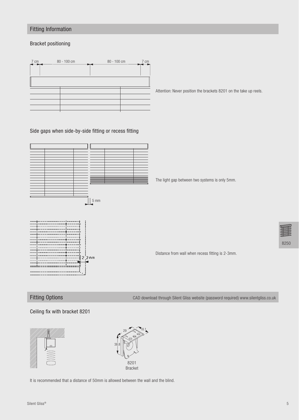# **Fitting Information**

### **Bracket positioning**



Attention: Never position the brackets 8201 on the take up reels.

Side gaps when side-by-side fitting or recess fitting



The light gap between two systems is only 5mm.



Distance from wall when recess fitting is 2-3mm.

**Fitting Options** 

CAD download through Silent Gliss website (password required) www.silentgliss.co.uk

#### Ceiling fix with bracket 8201





It is recommended that a distance of 50mm is allowed between the wall and the blind.

8250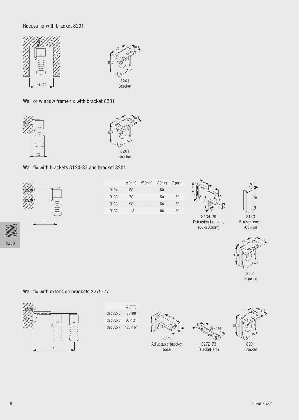## Recess fix with bracket 8201





Wall or window frame fix with bracket 8201





# Wall fix with brackets 3134-37 and bracket 8201



|      | $x$ (mm) | $W$ (mm)                 | Y (mm) | $Z$ (mm) |
|------|----------|--------------------------|--------|----------|
| 3134 | 58       | $\overline{\phantom{a}}$ | 50     | -        |
| 3135 | 78       | $\overline{\phantom{a}}$ | 50     | 50       |
| 3136 | 98       | -                        | 50     | 50       |
| 3137 | 118      | $\overline{\phantom{a}}$ | 80     | 50       |
|      |          |                          |        |          |



334
3 Extension brackets (60-200mm)



Bracket cover  $(60mm)$ 



**Bracket** 

## Wall fix with extension brackets 3275-77



 $x$  (mm) Set 3275 73-98 Set 3276 90-121 Set 3277 120-151



3271 Adjustable bracket base



16

3272-73 Bracket arm



Bracket

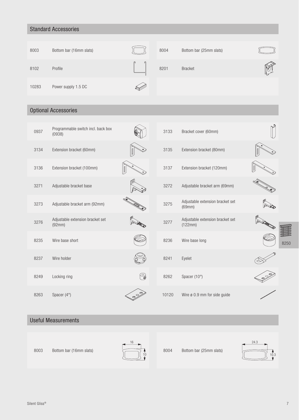# **Standard Accessories**

| 8003  | Bottom bar (16mm slats) |   | 8004 | Bottom bar (25mm slats) |  |
|-------|-------------------------|---|------|-------------------------|--|
| 8102  | Profile                 | ര | 8201 | <b>Bracket</b>          |  |
| 10283 | Power supply 1.5 DC     |   |      |                         |  |

# **Optional Accessories**

| 0937 | Programmable switch incl. back box<br>(0938) |   | 3133  | Bracket cover (60mm)                        |      |
|------|----------------------------------------------|---|-------|---------------------------------------------|------|
| 3134 | Extension bracket (60mm)                     |   | 3135  | Extension bracket (80mm)                    |      |
| 3136 | Extension bracket (100mm)                    |   | 3137  | Extension bracket (120mm)                   |      |
| 3271 | Adjustable bracket base                      |   | 3272  | Adjustable bracket arm (69mm)               |      |
| 3273 | Adjustable bracket arm (92mm)                |   | 3275  | Adjustable extension bracket set<br>(69mm)  |      |
| 3276 | Adjustable extension bracket set<br>(92mm)   |   | 3277  | Adjustable extension bracket set<br>(122mm) |      |
| 8235 | Wire base short                              |   | 8236  | Wire base long                              | 8250 |
| 8237 | Wire holder                                  |   | 8241  | Eyelet                                      |      |
| 8249 | Locking ring                                 | G | 8262  | Spacer (10°)                                |      |
| 8263 | Spacer $(4^{\circ})$                         |   | 10120 | Wire ø 0.9 mm for side guide                |      |

# **Useful Measurements**





8004 Bottom bar (25mm slats)

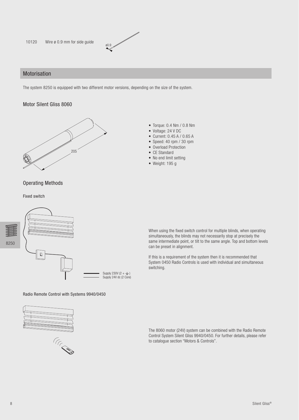

## Motorisation

The system 8250 is equipped with two different motor versions, depending on the size of the system.

#### Motor Silent Gliss 8060



# **Operating Methods**

**Fixed switch** 



Radio Remote Control with Systems 9940/0450





• Torque: 0.4 Nm / 0.8 Nm

- Voltage: 24 V DC
- Current: 0.45 A / 0.65 A
- Speed: 40 rpm / 30 rpm
- Overload Protection
- CE Standard
- No end limit setting
- $\bullet$  Weight: 195 g

When using the fixed switch control for multiple blinds, when operating simultaneously, the blinds may not necessarily stop at precisely the same intermediate point, or tilt to the same angle. Top and bottom levels can be preset in alignment.

If this is a requirement of the system then it is recommended that System 0450 Radio Controls is used with individual and simultaneous switching.

The 8060 motor (24V) system can be combined with the Radio Remote Control System Silent Gliss 9940/0450. For further details, please refer to catalogue section "Motors & Controls".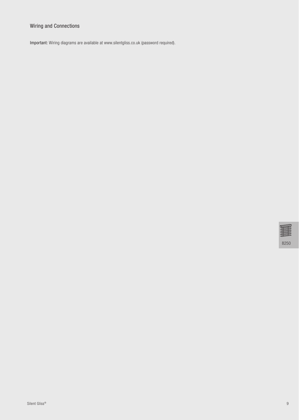# Wiring and Connections

Important: Wiring diagrams are available at www.silentgliss.co.uk (password required).

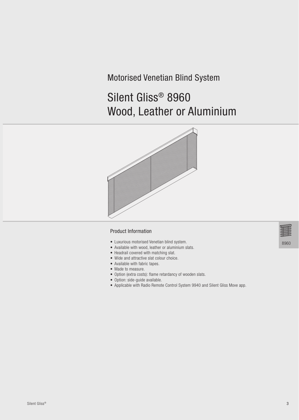# Motorised Venetian Blind System

# Silent Gliss® 8960 Wood, Leather or Aluminium



#### **Product Information**

- Luxurious motorised Venetian blind system.
- Available with wood, leather or aluminium slats.
- Headrail covered with matching slat.
- Wide and attractive slat colour choice.
- Available with fabric tapes.
- Made to measure.
- Option (extra costs): flame retardancy of wooden slats.
- Option: side-guide available.
- Applicable with Radio Remote Control System 9940 and Silent Gliss Move app.

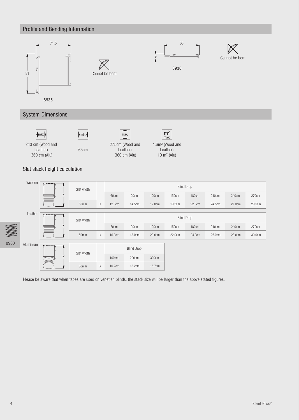

Please be aware that when tapes are used on venetian blinds, the stack size will be larger than the above stated figures.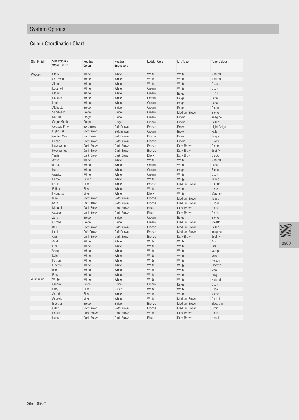# System Options

# Colour Coordination Chart

| <b>Slat Finish</b> | Slat Colour /<br><b>Wood Finish</b> | Headrail<br>Colour | Headrail<br><b>Endcovers</b> | <b>Ladder Cord</b> | Lift Tape    | <b>Tape Colour</b> |
|--------------------|-------------------------------------|--------------------|------------------------------|--------------------|--------------|--------------------|
| Wooden             | <b>Stark</b>                        | White              | White                        | White              | White        | Natural            |
|                    | Soft White                          | White              | White                        | White              | White        | Natural            |
|                    | Alpine                              | White              | White                        | White              | White        | <b>Duck</b>        |
|                    | Eggshell                            | White              | White                        | Cream              | White        | Duck               |
|                    | Cloud                               | White              | White                        | Cream              | Beige        | <b>Duck</b>        |
|                    | Holstien                            | White              | White                        | Cream              | Beige        | Echo               |
|                    | Linen                               | White              | White                        | Cream              | Beige        | Echo               |
|                    | Alabaster                           | Beige              | Beige                        | Cream              | Beige        | Stone              |
|                    | Sandwash                            | Beige              | Beige                        | Cream              | Medium Brown | Stone              |
|                    | Natural                             | Beige              | Beige                        | Cream              | Brown        | Imagine            |
|                    | Sugar Maple                         | Beige              | Beige                        | Cream              | Brown        | Fallen             |
|                    | <b>Cottage Pine</b>                 | Soft Brown         | Soft Brown                   | Bronze             | <b>Brown</b> | Light Beige        |
|                    | Light Oak                           | Soft Brown         | Soft Brown                   | Cream              | Brown        | Fallen             |
|                    | Golden Oak                          | Soft Brown         | Soft Brown                   | Bronze             | Brown        | Taupe              |
|                    | Pecan                               | Soft Brown         | Soft Brown                   | <b>Bronze</b>      | Brown        | <b>Bronx</b>       |
|                    | New Walnut                          | Dark Brown         | Dark Brown                   | <b>Bronze</b>      | Dark Brown   | Cocoa              |
|                    | New Wenge                           | Dark Brown         | Dark Brown                   | <b>Bronze</b>      | Dark Brown   | Justify            |
|                    | Yarrin                              | Dark Brown         | Dark Brown                   | Black              | Dark Brown   | <b>Black</b>       |
|                    | Astro                               | White              | White                        | White              | White        | Natural            |
|                    | cirrus                              | White              | White                        | Cream              | White        | Echo               |
|                    | Nata                                | White              | White                        | Cream              | Beige        | Stone              |
|                    | Gravity                             | White              | White                        | Cream              | White        | Duck               |
|                    | Pardo                               | Silver             | White                        | White              | White        | Taboo              |
|                    | Equis                               | Silver             | White                        | Bronze             | Medium Brown | Stealth            |
|                    | Feline                              | Silver             | White                        | White              | White        | Hype               |
|                    | Hypnosis                            | Silver             | White                        | Black              | White        | Mystery            |
|                    | Isiro                               | Soft Brown         | Soft Brown                   | <b>Bronze</b>      | Medium Brown | Taupe              |
|                    | Koto                                | Soft Brown         | Soft Brown                   | Bronze             | Medium Brown | Cocoa              |
|                    | Matumi                              | Dark Brown         | Dark Brown                   | <b>Black</b>       | Dark Brown   | <b>Black</b>       |
|                    | Cassia                              | Dark Brown         | Dark Brown                   | <b>Black</b>       | Dark Brown   | Black              |
|                    | Zura                                | Beige              | Beige                        | Cream              | Beige        | Stone              |
|                    | Caroba                              | Beige              | Beige                        | Cream              | Medium Brown | Stealth            |
|                    | Koli                                | Soft Brown         | Soft Brown                   | <b>Bronze</b>      | Medium Brown | Fallen             |
|                    | Halti                               | Soft Brown         | Soft Brown                   | Bronze             | Medium Brown | Imagine            |
|                    | Orali                               | Dark Brown         | Dark Brown                   | <b>Bronze</b>      | Dark Brown   | Justify            |
|                    | Acid                                | White              | White                        | White              | White        | Acid               |
|                    | Fizz                                | White              | White                        | White              | White        | Fizz               |
|                    | Vamp                                | White              | White                        | White              | White        | Vamp               |
|                    | Lulu                                | White              | White                        | White              | White        | Lulu               |
|                    | Poison                              | White              | White                        | White              | White        | Poison             |
|                    | Electric                            | White              | White                        | White              | White        | Electric           |
|                    | Icon                                | White              | White                        | White              | White        | Icon               |
|                    | Envy                                | White              | White                        | White              | White        | Envy               |
| Aluminium          | White                               | White              | White                        | White              | White        | Natural            |
|                    | Cream                               | Beige              | Beige                        | Cream              | Beige        | Duck               |
|                    | Grey                                | Silver             | Silver                       | White              | White        | Hype               |
|                    | Astrid                              | Silver             | White                        | White              | White        | Astrid             |
|                    | Android                             | Silver             | White                        | White              | Medium Brown | Android            |
|                    | Electrum                            | Beige              | Beige                        | <b>Bronze</b>      | Medium Brown | Electrum           |
|                    | Orbit                               | Soft Brown         | Soft Brown                   | Bronze             | Medium Brown | Orbit              |
|                    | Rockit                              | Dark Brown         | Dark Brown                   | White              | Dark Brown   | Rockit             |
|                    | Nebula                              | Dark Brown         | Dark Brown                   | <b>Black</b>       | Dark Brown   | Nebula             |

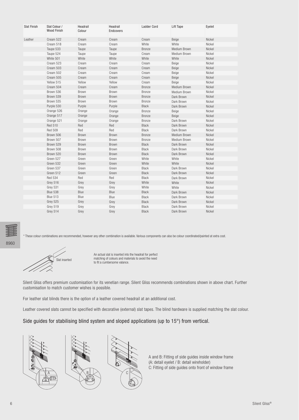| <b>Slat Finish</b> | Slat Colour /<br><b>Wood Finish</b> | Headrail<br>Colour | Headrail<br><b>Endcovers</b> | <b>Ladder Cord</b> | Lift Tape    | Eyelet |
|--------------------|-------------------------------------|--------------------|------------------------------|--------------------|--------------|--------|
| Leather            | Cream 522                           | Cream              | Cream                        | Cream              | Beige        | Nickel |
|                    | Cream 518                           | Cream              | Cream                        | White              | White        | Nickel |
|                    | Taupe 533                           | Taupe              | Taupe                        | Bronze             | Medium Brown | Nickel |
|                    | Taupe 524                           | Taupe              | Taupe                        | Cream              | Medium Brown | Nickel |
|                    | White 501                           | White              | White                        | White              | White        | Nickel |
|                    | Cream 523                           | Cream              | Cream                        | Cream              | Beige        | Nickel |
|                    | Cream 503                           | Cream              | Cream                        | Cream              | Beige        | Nickel |
|                    | Cream 502                           | Cream              | Cream                        | Cream              | Beige        | Nickel |
|                    | Cream 505                           | Cream              | Cream                        | Cream              | Beige        | Nickel |
|                    | Yellow 515                          | Yellow             | Yellow                       | Cream              | Beige        | Nickel |
|                    | Cream 504                           | Cream              | Cream                        | Bronze             | Medium Brown | Nickel |
|                    | Brown 536                           | <b>Brown</b>       | Brown                        | <b>Bronze</b>      | Medium Brown | Nickel |
|                    | Brown 539                           | Brown              | Brown                        | Bronze             | Dark Brown   | Nickel |
|                    | Brown 535                           | Brown              | Brown                        | Bronze             | Dark Brown   | Nickel |
|                    | Purple 530                          | Purple             | Purple                       | Black              | Dark Brown   | Nickel |
|                    | Orange 526                          | Orange             | Orange                       | Bronze             | Beige        | Nickel |
|                    | Orange 517                          | Orange             | Orange                       | Bronze             | Beige        | Nickel |
|                    | Orange 521                          | Orange             | Orange                       | Bronze             | Dark Brown   | Nickel |
|                    | <b>Red 510</b>                      | Red                | Red                          | Black              | Dark Brown   | Nickel |
|                    | <b>Red 509</b>                      | Red                | Red                          | Black              | Dark Brown   | Nickel |
|                    | Brown 506                           | Brown              | Brown                        | Bronze             | Medium Brown | Nickel |
|                    | Brown 507                           | Brown              | Brown                        | Bronze             | Medium Brown | Nickel |
|                    | Brown 529                           | Brown              | Brown                        | Black              | Dark Brown   | Nickel |
|                    | Brown 508                           | Brown              | Brown                        | Black              | Dark Brown   | Nickel |
|                    | Brown 520                           | Brown              | Brown                        | <b>Black</b>       | Dark Brown   | Nickel |
|                    | Green 527                           | Green              | Green                        | White              | White        | Nickel |
|                    | Green 532                           | Green              | Green                        | White              | White        | Nickel |
|                    | Green 537                           | Green              | Green                        | Black              | Dark Brown   | Nickel |
|                    | Green 512                           | Green              | Green                        | Black              | Dark Brown   | Nickel |
|                    | Red 534                             | Red                | Red                          | Black              | Dark Brown   | Nickel |
|                    | Grey 516                            | Grey               | Grey                         | White              | White        | Nickel |
|                    | Grey 531                            | Grey               | Grey                         | White              | White        | Nickel |
|                    | Blue 538                            | Blue               | Blue                         | Black              | Dark Brown   | Nickel |
|                    | Blue 513                            | Blue               | Blue                         | Black              | Dark Brown   | Nickel |
|                    | Grey 525                            | Grey               | Grey                         | Black              | Dark Brown   | Nickel |
|                    | Grey 519                            | Grey               | Grey                         | <b>Black</b>       | Dark Brown   | Nickel |
|                    | Grey 514                            | Grey               | Grey                         | <b>Black</b>       | Dark Brown   | Nickel |

\* These colour combinations are recommended, however any other combination is available. Various components can also be colour coordinated/painted at extra cost.

Slat inserted

An actual slat is inserted into the headrail for perfect matching of colours and materials to avoid the need to fit a cumbersome valance.

Silent Gliss offers premium customisation for its venetian range. Silent Gliss recommends combinations shown in above chart. Further customisation to match customer wishes is possible.

For leather slat blinds there is the option of a leather covered headrail at an additional cost.

Leather covered slats cannot be specified with decorative (external) slat tapes. The blind hardware is supplied matching the slat colour.

Side guides for stabilising blind system and sloped applications (up to 15°) from vertical.





A and B: Fitting of side guides inside window frame (A: detail eyelet / B: detail wireholder) C: Fitting of side guides onto front of window frame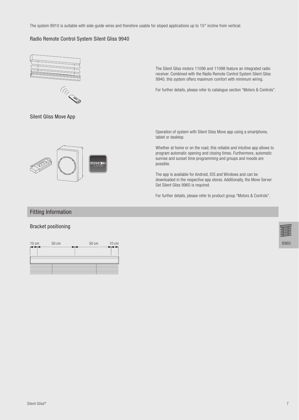The system 8910 is suitable with side-guide wires and therefore usable for sloped applications up to 15° incline from vertical.

#### Radio Remote Control System Silent Gliss 9940





The Silent Gliss motors 11096 and 11098 feature an integrated radio receiver. Combined with the Radio Remote Control System Silent Gliss 9940, this system offers maximum comfort with minimum wiring.

For further details, please refer to catalogue section "Motors & Controls".

Silent Gliss Move App



Operation of system with Silent Gliss Move app using a smartphone, tablet or desktop.

Whether at home or on the road, this reliable and intuitive app allows to program automatic opening and closing times. Furthermore, automatic sunrise and sunset time programming and groups and moods are possible.

The app is available for Android, IOS and Windows and can be downloaded in the respective app stores. Additionally, the Move Server Set Silent Gliss 9960 is required.

For further details, please refer to product group "Motors & Controls".

# **Fitting Information**

#### **Bracket positioning**



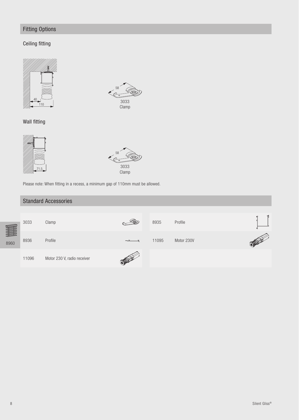# Fitting Options

# Ceiling fitting





Wall fitting





Please note: When fitting in a recess, a minimum gap of 110mm must be allowed.

# Standard Accessories

|      | 3033  | Clamp                       | ()) | 8935  | Profile    |  |
|------|-------|-----------------------------|-----|-------|------------|--|
| 8960 | 8936  | Profile                     |     | 11095 | Motor 230V |  |
|      | 11096 | Motor 230 V, radio receiver |     |       |            |  |